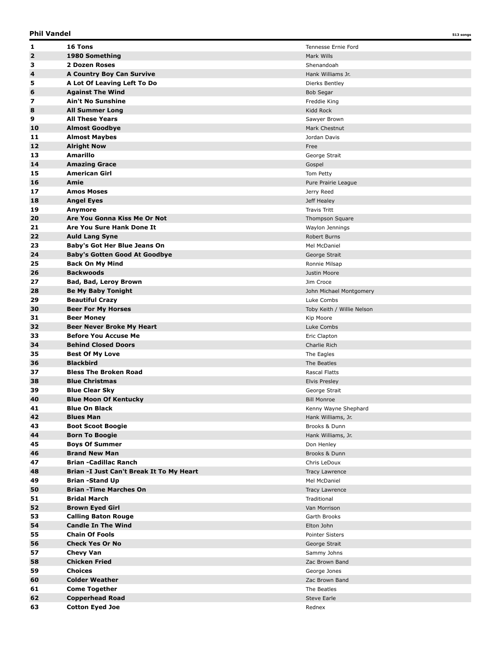| 1                       | 16 Tons                                      | Tennesse Ernie Ford        |
|-------------------------|----------------------------------------------|----------------------------|
| $\overline{\mathbf{2}}$ | 1980 Something                               | Mark Wills                 |
| з                       | 2 Dozen Roses                                | Shenandoah                 |
| 4                       | A Country Boy Can Survive                    | Hank Williams Jr.          |
| 5                       | A Lot Of Leaving Left To Do                  | Dierks Bentley             |
| 6                       | <b>Against The Wind</b>                      | <b>Bob Segar</b>           |
| 7                       | <b>Ain't No Sunshine</b>                     | Freddie King               |
| 8                       | <b>All Summer Long</b>                       | Kidd Rock                  |
| 9                       | <b>All These Years</b>                       | Sawyer Brown               |
| 10                      | <b>Almost Goodbye</b>                        | Mark Chestnut              |
| 11                      | <b>Almost Maybes</b>                         | Jordan Davis               |
| 12                      | <b>Alright Now</b>                           | Free                       |
| 13                      | <b>Amarillo</b>                              |                            |
|                         |                                              | George Strait              |
| 14                      | <b>Amazing Grace</b><br><b>American Girl</b> | Gospel                     |
| 15                      |                                              | Tom Petty                  |
| 16                      | Amie                                         | Pure Prairie League        |
| 17                      | <b>Amos Moses</b>                            | Jerry Reed                 |
| 18                      | <b>Angel Eyes</b>                            | Jeff Healey                |
| 19                      | Anymore                                      | <b>Travis Tritt</b>        |
| 20                      | Are You Gonna Kiss Me Or Not                 | Thompson Square            |
| 21                      | Are You Sure Hank Done It                    | Waylon Jennings            |
| 22                      | <b>Auld Lang Syne</b>                        | <b>Robert Burns</b>        |
| 23                      | Baby's Got Her Blue Jeans On                 | Mel McDaniel               |
| 24                      | <b>Baby's Gotten Good At Goodbye</b>         | George Strait              |
| 25                      | <b>Back On My Mind</b>                       | Ronnie Milsap              |
| 26                      | <b>Backwoods</b>                             | Justin Moore               |
| 27                      | <b>Bad, Bad, Leroy Brown</b>                 | Jim Croce                  |
| 28                      | <b>Be My Baby Tonight</b>                    | John Michael Montgomery    |
| 29                      | <b>Beautiful Crazy</b>                       | Luke Combs                 |
| 30                      | <b>Beer For My Horses</b>                    | Toby Keith / Willie Nelson |
| 31                      | <b>Beer Money</b>                            | Kip Moore                  |
| 32                      | <b>Beer Never Broke My Heart</b>             | Luke Combs                 |
| 33                      | <b>Before You Accuse Me</b>                  | Eric Clapton               |
| 34                      | <b>Behind Closed Doors</b>                   | Charlie Rich               |
| 35                      | <b>Best Of My Love</b>                       | The Eagles                 |
| 36                      | <b>Blackbird</b>                             | The Beatles                |
| 37                      | <b>Bless The Broken Road</b>                 | Rascal Flatts              |
| 38                      | <b>Blue Christmas</b>                        | <b>Elvis Presley</b>       |
| 39                      | <b>Blue Clear Sky</b>                        | George Strait              |
| 40                      | <b>Blue Moon Of Kentucky</b>                 | <b>Bill Monroe</b>         |
| 41                      | <b>Blue On Black</b>                         | Kenny Wayne Shephard       |
| 42                      | <b>Blues Man</b>                             | Hank Williams, Jr.         |
| 43                      | <b>Boot Scoot Boogie</b>                     | Brooks & Dunn              |
| 44                      | <b>Born To Boogie</b>                        |                            |
| 45                      |                                              | Hank Williams, Jr.         |
|                         | <b>Boys Of Summer</b>                        | Don Henley                 |
| 46                      | <b>Brand New Man</b>                         | Brooks & Dunn              |
| 47                      | <b>Brian -Cadillac Ranch</b>                 | Chris LeDoux               |
| 48                      | Brian -I Just Can't Break It To My Heart     | Tracy Lawrence             |
| 49                      | <b>Brian -Stand Up</b>                       | Mel McDaniel               |
| 50                      | <b>Brian - Time Marches On</b>               | Tracy Lawrence             |
| 51                      | <b>Bridal March</b>                          | Traditional                |
| 52                      | <b>Brown Eyed Girl</b>                       | Van Morrison               |
| 53                      | <b>Calling Baton Rouge</b>                   | Garth Brooks               |
| 54                      | <b>Candle In The Wind</b>                    | Elton John                 |
| 55                      | <b>Chain Of Fools</b>                        | Pointer Sisters            |
| 56                      | <b>Check Yes Or No</b>                       | George Strait              |
| 57                      | <b>Chevy Van</b>                             | Sammy Johns                |
| 58                      | <b>Chicken Fried</b>                         | Zac Brown Band             |
| 59                      | <b>Choices</b>                               | George Jones               |
| 60                      |                                              |                            |
|                         | <b>Colder Weather</b>                        | Zac Brown Band             |
| 61                      | <b>Come Together</b>                         | The Beatles                |
| 62                      | <b>Copperhead Road</b>                       | Steve Earle                |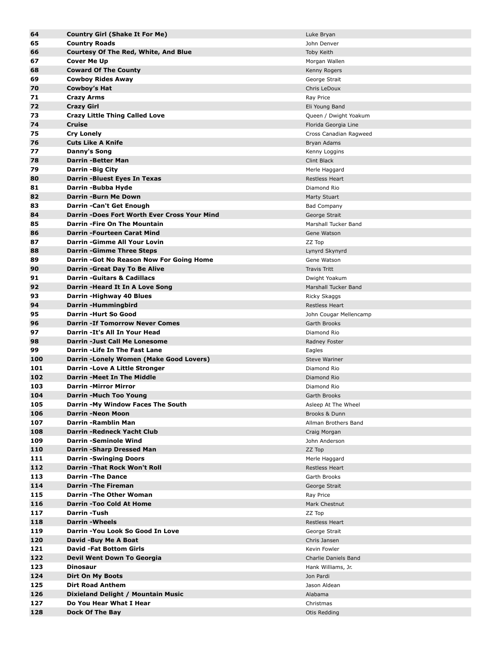| 64  | <b>Country Girl (Shake It For Me)</b>        | Luke Bryan             |
|-----|----------------------------------------------|------------------------|
| 65  | <b>Country Roads</b>                         | John Denver            |
| 66  | <b>Courtesy Of The Red, White, And Blue</b>  | Toby Keith             |
| 67  | <b>Cover Me Up</b>                           | Morgan Wallen          |
| 68  | <b>Coward Of The County</b>                  | Kenny Rogers           |
| 69  | <b>Cowboy Rides Away</b>                     | George Strait          |
| 70  | Cowboy's Hat                                 | Chris LeDoux           |
| 71  |                                              |                        |
|     | <b>Crazy Arms</b>                            | Ray Price              |
| 72  | <b>Crazy Girl</b>                            | Eli Young Band         |
| 73  | <b>Crazy Little Thing Called Love</b>        | Queen / Dwight Yoakum  |
| 74  | <b>Cruise</b>                                | Florida Georgia Line   |
| 75  | <b>Cry Lonely</b>                            | Cross Canadian Ragweed |
| 76  | <b>Cuts Like A Knife</b>                     | Bryan Adams            |
| 77  | Danny's Song                                 | Kenny Loggins          |
| 78  | Darrin -Better Man                           | Clint Black            |
| 79  | <b>Darrin -Big City</b>                      | Merle Haggard          |
| 80  | Darrin -Bluest Eyes In Texas                 | <b>Restless Heart</b>  |
| 81  | Darrin -Bubba Hyde                           | Diamond Rio            |
| 82  | <b>Darrin -Burn Me Down</b>                  | Marty Stuart           |
| 83  | Darrin - Can't Get Enough                    | <b>Bad Company</b>     |
| 84  | Darrin -Does Fort Worth Ever Cross Your Mind | George Strait          |
| 85  | Darrin - Fire On The Mountain                | Marshall Tucker Band   |
|     |                                              |                        |
| 86  | Darrin -Fourteen Carat Mind                  | Gene Watson            |
| 87  | Darrin - Gimme All Your Lovin                | ZZ Top                 |
| 88  | <b>Darrin -Gimme Three Steps</b>             | Lynyrd Skynyrd         |
| 89  | Darrin - Got No Reason Now For Going Home    | Gene Watson            |
| 90  | Darrin - Great Day To Be Alive               | <b>Travis Tritt</b>    |
| 91  | <b>Darrin -Guitars &amp; Cadillacs</b>       | Dwight Yoakum          |
| 92  | Darrin -Heard It In A Love Song              | Marshall Tucker Band   |
| 93  | Darrin - Highway 40 Blues                    | Ricky Skaggs           |
| 94  | Darrin -Hummingbird                          | <b>Restless Heart</b>  |
| 95  | <b>Darrin -Hurt So Good</b>                  | John Cougar Mellencamp |
| 96  | <b>Darrin -If Tomorrow Never Comes</b>       | Garth Brooks           |
| 97  | Darrin - It's All In Your Head               | Diamond Rio            |
| 98  | Darrin -Just Call Me Lonesome                | Radney Foster          |
| 99  | Darrin - Life In The Fast Lane               | Eagles                 |
| 100 | Darrin -Lonely Women (Make Good Lovers)      | <b>Steve Wariner</b>   |
| 101 | Darrin - Love A Little Stronger              | Diamond Rio            |
| 102 | Darrin - Meet In The Middle                  | Diamond Rio            |
| 103 | <b>Darrin -Mirror Mirror</b>                 | Diamond Rio            |
| 104 | Darrin - Much Too Young                      | Garth Brooks           |
|     |                                              |                        |
| 105 | Darrin -My Window Faces The South            | Asleep At The Wheel    |
| 106 | <b>Darrin -Neon Moon</b>                     | Brooks & Dunn          |
| 107 | Darrin -Ramblin Man                          | Allman Brothers Band   |
| 108 | <b>Darrin - Redneck Yacht Club</b>           | Craig Morgan           |
| 109 | <b>Darrin-Seminole Wind</b>                  | John Anderson          |
| 110 | Darrin -Sharp Dressed Man                    | ZZ Top                 |
| 111 | <b>Darrin -Swinging Doors</b>                | Merle Haggard          |
| 112 | Darrin - That Rock Won't Roll                | <b>Restless Heart</b>  |
| 113 | <b>Darrin-The Dance</b>                      | Garth Brooks           |
| 114 | <b>Darrin-The Fireman</b>                    | George Strait          |
| 115 | <b>Darrin - The Other Woman</b>              | Ray Price              |
| 116 | <b>Darrin -Too Cold At Home</b>              | Mark Chestnut          |
| 117 | Darrin -Tush                                 | ZZ Top                 |
| 118 | <b>Darrin-Wheels</b>                         | <b>Restless Heart</b>  |
| 119 | Darrin - You Look So Good In Love            | George Strait          |
| 120 | David -Buy Me A Boat                         | Chris Jansen           |
| 121 | <b>David -Fat Bottom Girls</b>               | Kevin Fowler           |
| 122 | Devil Went Down To Georgia                   | Charlie Daniels Band   |
| 123 | <b>Dinosaur</b>                              | Hank Williams, Jr.     |
| 124 |                                              |                        |
|     | Dirt On My Boots                             | Jon Pardi              |
| 125 | <b>Dirt Road Anthem</b>                      | Jason Aldean           |
| 126 | Dixieland Delight / Mountain Music           | Alabama                |
| 127 | Do You Hear What I Hear                      | Christmas              |
| 128 | Dock Of The Bay                              | Otis Redding           |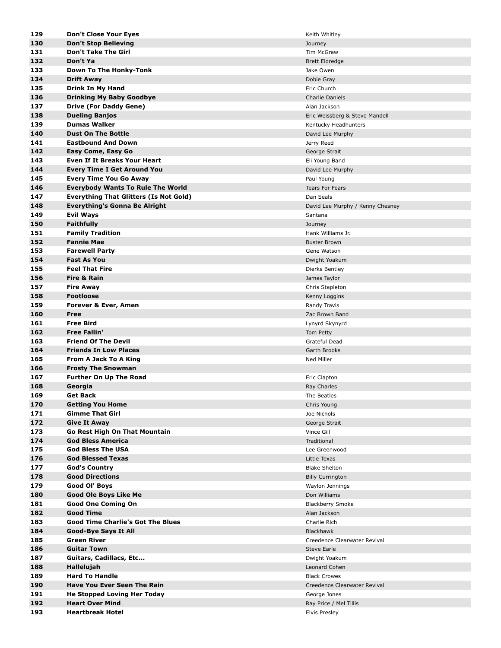| 129 | <b>Don't Close Your Eyes</b>                  | Keith Whitley                    |
|-----|-----------------------------------------------|----------------------------------|
| 130 | <b>Don't Stop Believing</b>                   | Journey                          |
| 131 | <b>Don't Take The Girl</b>                    | Tim McGraw                       |
| 132 | Don't Ya                                      | <b>Brett Eldredge</b>            |
| 133 | Down To The Honky-Tonk                        | Jake Owen                        |
| 134 | <b>Drift Away</b>                             | Dobie Gray                       |
| 135 | <b>Drink In My Hand</b>                       | Eric Church                      |
| 136 | <b>Drinking My Baby Goodbye</b>               | <b>Charlie Daniels</b>           |
| 137 | Drive (For Daddy Gene)                        | Alan Jackson                     |
| 138 | <b>Dueling Banjos</b>                         | Eric Weissberg & Steve Mandell   |
| 139 | <b>Dumas Walker</b>                           | Kentucky Headhunters             |
| 140 | <b>Dust On The Bottle</b>                     | David Lee Murphy                 |
| 141 | <b>Eastbound And Down</b>                     | Jerry Reed                       |
| 142 | Easy Come, Easy Go                            | George Strait                    |
| 143 | Even If It Breaks Your Heart                  | Eli Young Band                   |
| 144 | <b>Every Time I Get Around You</b>            | David Lee Murphy                 |
| 145 | <b>Every Time You Go Away</b>                 | Paul Young                       |
| 146 | <b>Everybody Wants To Rule The World</b>      | <b>Tears For Fears</b>           |
| 147 | <b>Everything That Glitters (Is Not Gold)</b> | Dan Seals                        |
| 148 | Everything's Gonna Be Alright                 | David Lee Murphy / Kenny Chesney |
| 149 | Evil Ways                                     | Santana                          |
| 150 | <b>Faithfully</b>                             | Journey                          |
| 151 | <b>Family Tradition</b>                       | Hank Williams Jr.                |
| 152 | <b>Fannie Mae</b>                             | <b>Buster Brown</b>              |
| 153 | <b>Farewell Party</b>                         | Gene Watson                      |
| 154 | <b>Fast As You</b>                            | Dwight Yoakum                    |
| 155 | <b>Feel That Fire</b>                         | Dierks Bentley                   |
| 156 | Fire & Rain                                   | James Taylor                     |
| 157 | <b>Fire Away</b>                              | Chris Stapleton                  |
| 158 | <b>Footloose</b>                              | Kenny Loggins                    |
| 159 | <b>Forever &amp; Ever, Amen</b>               | Randy Travis                     |
| 160 | Free                                          | Zac Brown Band                   |
| 161 | <b>Free Bird</b>                              | Lynyrd Skynyrd                   |
| 162 | <b>Free Fallin'</b>                           | Tom Petty                        |
| 163 | <b>Friend Of The Devil</b>                    | Grateful Dead                    |
| 164 | <b>Friends In Low Places</b>                  | Garth Brooks                     |
| 165 | From A Jack To A King                         | Ned Miller                       |
| 166 | <b>Frosty The Snowman</b>                     |                                  |
| 167 | <b>Further On Up The Road</b>                 | Eric Clapton                     |
| 168 | Georgia                                       | Ray Charles                      |
| 169 | <b>Get Back</b>                               | The Beatles                      |
| 170 | <b>Getting You Home</b>                       | Chris Young                      |
| 171 | <b>Gimme That Girl</b>                        | Joe Nichols                      |
| 172 | <b>Give It Away</b>                           | George Strait                    |
| 173 | Go Rest High On That Mountain                 | Vince Gill                       |
| 174 | <b>God Bless America</b>                      | Traditional                      |
| 175 | <b>God Bless The USA</b>                      | Lee Greenwood                    |
| 176 | <b>God Blessed Texas</b>                      | Little Texas                     |
| 177 | <b>God's Country</b>                          | <b>Blake Shelton</b>             |
| 178 | <b>Good Directions</b>                        | <b>Billy Currington</b>          |
| 179 | Good Ol' Boys                                 | Waylon Jennings                  |
| 180 | <b>Good Ole Boys Like Me</b>                  | Don Williams                     |
| 181 | <b>Good One Coming On</b>                     | <b>Blackberry Smoke</b>          |
| 182 | <b>Good Time</b>                              | Alan Jackson                     |
| 183 | <b>Good Time Charlie's Got The Blues</b>      | Charlie Rich                     |
| 184 | <b>Good-Bye Says It All</b>                   | <b>Blackhawk</b>                 |
| 185 | <b>Green River</b>                            | Creedence Clearwater Revival     |
| 186 | <b>Guitar Town</b>                            | Steve Earle                      |
| 187 | Guitars, Cadillacs, Etc                       | Dwight Yoakum                    |
| 188 | Hallelujah                                    | Leonard Cohen                    |
| 189 | <b>Hard To Handle</b>                         | <b>Black Crowes</b>              |
| 190 | <b>Have You Ever Seen The Rain</b>            | Creedence Clearwater Revival     |
| 191 | <b>He Stopped Loving Her Today</b>            | George Jones                     |
| 192 | <b>Heart Over Mind</b>                        | Ray Price / Mel Tillis           |
| 193 | <b>Heartbreak Hotel</b>                       | <b>Elvis Presley</b>             |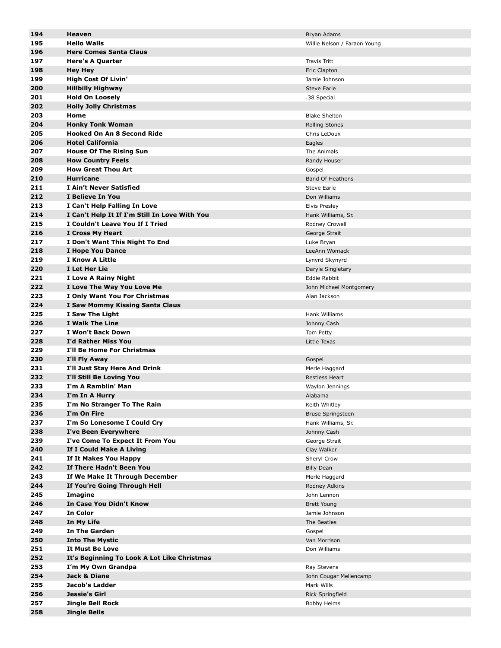| 194 | Heaven                                        | Bryan Adams                  |
|-----|-----------------------------------------------|------------------------------|
| 195 | <b>Hello Walls</b>                            | Willie Nelson / Faraon Young |
| 196 | <b>Here Comes Santa Claus</b>                 |                              |
|     |                                               |                              |
| 197 | <b>Here's A Quarter</b>                       | <b>Travis Tritt</b>          |
| 198 | <b>Hey Hey</b>                                | Eric Clapton                 |
| 199 | <b>High Cost Of Livin'</b>                    | Jamie Johnson                |
| 200 | <b>Hillbilly Highway</b>                      | <b>Steve Earle</b>           |
| 201 | <b>Hold On Loosely</b>                        | .38 Special                  |
| 202 | <b>Holly Jolly Christmas</b>                  |                              |
| 203 | Home                                          | <b>Blake Shelton</b>         |
|     |                                               |                              |
| 204 | <b>Honky Tonk Woman</b>                       | <b>Rolling Stones</b>        |
| 205 | <b>Hooked On An 8 Second Ride</b>             | Chris LeDoux                 |
| 206 | <b>Hotel California</b>                       | Eagles                       |
| 207 | <b>House Of The Rising Sun</b>                | The Animals                  |
| 208 | <b>How Country Feels</b>                      | Randy Houser                 |
| 209 | <b>How Great Thou Art</b>                     | Gospel                       |
| 210 | <b>Hurricane</b>                              | <b>Band Of Heathens</b>      |
| 211 | I Ain't Never Satisfied                       | <b>Steve Earle</b>           |
|     |                                               |                              |
| 212 | I Believe In You                              | Don Williams                 |
| 213 | I Can't Help Falling In Love                  | <b>Elvis Presley</b>         |
| 214 | I Can't Help It If I'm Still In Love With You | Hank Williams, Sr.           |
| 215 | I Couldn't Leave You If I Tried               | Rodney Crowell               |
| 216 | I Cross My Heart                              | George Strait                |
| 217 | I Don't Want This Night To End                | Luke Bryan                   |
| 218 | I Hope You Dance                              | LeeAnn Womack                |
| 219 | <b>I Know A Little</b>                        | Lynyrd Skynyrd               |
|     |                                               |                              |
| 220 | I Let Her Lie                                 | Daryle Singletary            |
| 221 | I Love A Rainy Night                          | Eddie Rabbit                 |
| 222 | I Love The Way You Love Me                    | John Michael Montgomery      |
| 223 | I Only Want You For Christmas                 | Alan Jackson                 |
| 224 | I Saw Mommy Kissing Santa Claus               |                              |
| 225 | I Saw The Light                               | Hank Williams                |
| 226 | I Walk The Line                               | Johnny Cash                  |
| 227 | I Won't Back Down                             | Tom Petty                    |
| 228 | I'd Rather Miss You                           | Little Texas                 |
| 229 | I'll Be Home For Christmas                    |                              |
|     |                                               |                              |
| 230 | I'll Fly Away                                 | Gospel                       |
| 231 | I'll Just Stay Here And Drink                 | Merle Haggard                |
| 232 | I'll Still Be Loving You                      | <b>Restless Heart</b>        |
| 233 | I'm A Ramblin' Man                            | Waylon Jennings              |
| 234 | I'm In A Hurry                                | Alabama                      |
| 235 | I'm No Stranger To The Rain                   | Keith Whitley                |
| 236 | I'm On Fire                                   | <b>Bruse Springsteen</b>     |
| 237 | I'm So Lonesome I Could Cry                   | Hank Williams, Sr.           |
| 238 |                                               |                              |
|     | I've Been Everywhere                          | Johnny Cash                  |
| 239 | I've Come To Expect It From You               | George Strait                |
| 240 | If I Could Make A Living                      | Clay Walker                  |
| 241 | If It Makes You Happy                         | Sheryl Crow                  |
| 242 | If There Hadn't Been You                      | <b>Billy Dean</b>            |
| 243 | If We Make It Through December                | Merle Haggard                |
| 244 | If You're Going Through Hell                  | Rodney Adkins                |
| 245 | Imagine                                       | John Lennon                  |
| 246 | In Case You Didn't Know                       | <b>Brett Young</b>           |
|     |                                               |                              |
| 247 | In Color                                      | Jamie Johnson                |
| 248 | In My Life                                    | The Beatles                  |
| 249 | <b>In The Garden</b>                          | Gospel                       |
| 250 | <b>Into The Mystic</b>                        | Van Morrison                 |
| 251 | It Must Be Love                               | Don Williams                 |
| 252 | It's Beginning To Look A Lot Like Christmas   |                              |
| 253 | I'm My Own Grandpa                            | Ray Stevens                  |
| 254 | Jack & Diane                                  | John Cougar Mellencamp       |
|     | Jacob's Ladder                                |                              |
| 255 |                                               | Mark Wills                   |
| 256 | Jessie's Girl                                 | Rick Springfield             |
| 257 | Jingle Bell Rock                              | Bobby Helms                  |
| 258 | <b>Jingle Bells</b>                           |                              |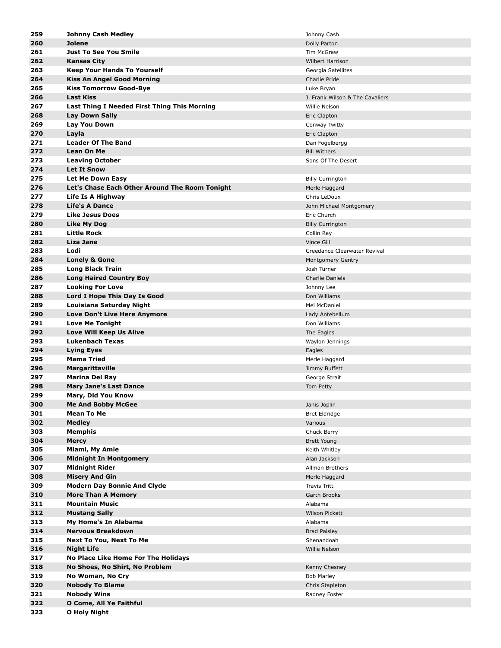| 259 | <b>Johnny Cash Medley</b>                      | Johnny Cash                     |
|-----|------------------------------------------------|---------------------------------|
| 260 | <b>Jolene</b>                                  | Dolly Parton                    |
| 261 | <b>Just To See You Smile</b>                   | Tim McGraw                      |
| 262 | <b>Kansas City</b>                             | <b>Wilbert Harrison</b>         |
| 263 | <b>Keep Your Hands To Yourself</b>             | Georgia Satellites              |
| 264 |                                                | Charlie Pride                   |
|     | <b>Kiss An Angel Good Morning</b>              |                                 |
| 265 | <b>Kiss Tomorrow Good-Bye</b>                  | Luke Bryan                      |
| 266 | <b>Last Kiss</b>                               | J. Frank Wilson & The Cavaliers |
| 267 | Last Thing I Needed First Thing This Morning   | Willie Nelson                   |
| 268 | <b>Lay Down Sally</b>                          | Eric Clapton                    |
| 269 | Lay You Down                                   | Conway Twitty                   |
| 270 | Layla                                          | Eric Clapton                    |
| 271 | <b>Leader Of The Band</b>                      | Dan Fogelbergg                  |
| 272 | <b>Lean On Me</b>                              | <b>Bill Withers</b>             |
| 273 | <b>Leaving October</b>                         | Sons Of The Desert              |
| 274 | <b>Let It Snow</b>                             |                                 |
| 275 | Let Me Down Easy                               | <b>Billy Currington</b>         |
| 276 | Let's Chase Each Other Around The Room Tonight | Merle Haggard                   |
| 277 | Life Is A Highway                              | Chris LeDoux                    |
| 278 | <b>Life's A Dance</b>                          | John Michael Montgomery         |
| 279 | <b>Like Jesus Does</b>                         | Eric Church                     |
| 280 | Like My Dog                                    | <b>Billy Currington</b>         |
| 281 | <b>Little Rock</b>                             | Collin Ray                      |
| 282 | Liza Jane                                      | Vince Gill                      |
| 283 | Lodi                                           | Creedance Clearwater Revival    |
| 284 | <b>Lonely &amp; Gone</b>                       | Montgomery Gentry               |
| 285 | <b>Long Black Train</b>                        | Josh Turner                     |
| 286 | <b>Long Haired Country Boy</b>                 | Charlie Daniels                 |
| 287 | <b>Looking For Love</b>                        | Johnny Lee                      |
| 288 | Lord I Hope This Day Is Good                   | Don Williams                    |
| 289 | Louisiana Saturday Night                       | Mel McDaniel                    |
| 290 | Love Don't Live Here Anymore                   | Lady Antebellum                 |
| 291 | <b>Love Me Tonight</b>                         | Don Williams                    |
| 292 | Love Will Keep Us Alive                        | The Eagles                      |
| 293 | <b>Lukenbach Texas</b>                         | Waylon Jennings                 |
| 294 | <b>Lying Eyes</b>                              | Eagles                          |
| 295 | Mama Tried                                     | Merle Haggard                   |
| 296 | <b>Margarittaville</b>                         | Jimmy Buffett                   |
| 297 | <b>Marina Del Ray</b>                          | George Strait                   |
| 298 | <b>Mary Jane's Last Dance</b>                  | Tom Petty                       |
| 299 | Mary, Did You Know                             |                                 |
| 300 | <b>Me And Bobby McGee</b>                      | Janis Joplin                    |
| 301 | <b>Mean To Me</b>                              | <b>Bret Eldridge</b>            |
| 302 | <b>Medley</b>                                  | Various                         |
| 303 | Memphis                                        | Chuck Berry                     |
| 304 | <b>Mercy</b>                                   | <b>Brett Young</b>              |
| 305 | Miami, My Amie                                 |                                 |
| 306 | <b>Midnight In Montgomery</b>                  | Keith Whitley<br>Alan Jackson   |
| 307 | <b>Midnight Rider</b>                          | Allman Brothers                 |
|     |                                                |                                 |
| 308 | <b>Misery And Gin</b>                          | Merle Haggard                   |
| 309 | <b>Modern Day Bonnie And Clyde</b>             | Travis Tritt                    |
| 310 | <b>More Than A Memory</b>                      | Garth Brooks                    |
| 311 | <b>Mountain Music</b>                          | Alabama                         |
| 312 | <b>Mustang Sally</b>                           | Wilson Pickett                  |
| 313 | My Home's In Alabama                           | Alabama                         |
| 314 | <b>Nervous Breakdown</b>                       | <b>Brad Paisley</b>             |
| 315 | <b>Next To You, Next To Me</b>                 | Shenandoah                      |
| 316 | <b>Night Life</b>                              | Willie Nelson                   |
| 317 | No Place Like Home For The Holidays            |                                 |
| 318 | No Shoes, No Shirt, No Problem                 | Kenny Chesney                   |
| 319 | No Woman, No Cry                               | <b>Bob Marley</b>               |
| 320 | <b>Nobody To Blame</b>                         | Chris Stapleton                 |
| 321 | <b>Nobody Wins</b>                             | Radney Foster                   |
| 322 | O Come, All Ye Faithful                        |                                 |
| 323 | O Holy Night                                   |                                 |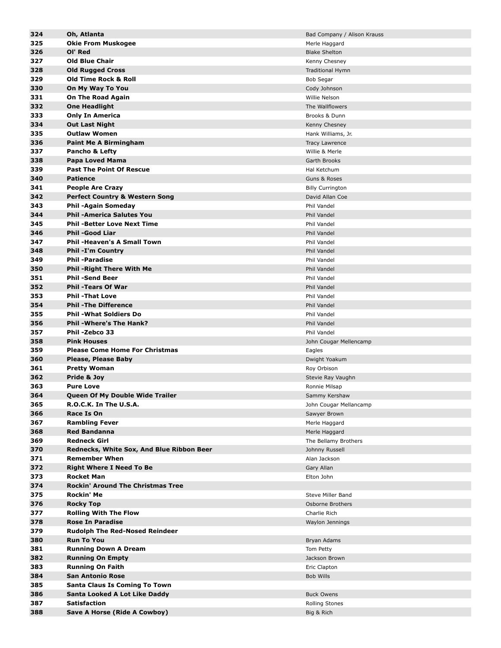| 324 | Oh, Atlanta                               | Bad Company / Alison Krauss |
|-----|-------------------------------------------|-----------------------------|
| 325 | <b>Okie From Muskogee</b>                 | Merle Haggard               |
| 326 | OI' Red                                   | <b>Blake Shelton</b>        |
|     |                                           |                             |
| 327 | <b>Old Blue Chair</b>                     | Kenny Chesney               |
| 328 | <b>Old Rugged Cross</b>                   | Traditional Hymn            |
| 329 | <b>Old Time Rock &amp; Roll</b>           | <b>Bob Segar</b>            |
| 330 | On My Way To You                          | Cody Johnson                |
| 331 | <b>On The Road Again</b>                  | Willie Nelson               |
| 332 | <b>One Headlight</b>                      | The Wallflowers             |
| 333 | <b>Only In America</b>                    | Brooks & Dunn               |
| 334 | <b>Out Last Night</b>                     |                             |
|     |                                           | Kenny Chesney               |
| 335 | <b>Outlaw Women</b>                       | Hank Williams, Jr.          |
| 336 | <b>Paint Me A Birmingham</b>              | Tracy Lawrence              |
| 337 | Pancho & Lefty                            | Willie & Merle              |
| 338 | Papa Loved Mama                           | Garth Brooks                |
| 339 | <b>Past The Point Of Rescue</b>           | Hal Ketchum                 |
| 340 | <b>Patience</b>                           | Guns & Roses                |
| 341 | <b>People Are Crazy</b>                   | <b>Billy Currington</b>     |
| 342 |                                           |                             |
|     | <b>Perfect Country &amp; Western Song</b> | David Allan Coe             |
| 343 | <b>Phil-Again Someday</b>                 | Phil Vandel                 |
| 344 | <b>Phil -America Salutes You</b>          | Phil Vandel                 |
| 345 | <b>Phil -Better Love Next Time</b>        | Phil Vandel                 |
| 346 | <b>Phil-Good Liar</b>                     | Phil Vandel                 |
| 347 | <b>Phil-Heaven's A Small Town</b>         | Phil Vandel                 |
| 348 | <b>Phil -I'm Country</b>                  | <b>Phil Vandel</b>          |
| 349 | <b>Phil -Paradise</b>                     | Phil Vandel                 |
|     |                                           |                             |
| 350 | <b>Phil -Right There With Me</b>          | Phil Vandel                 |
| 351 | <b>Phil-Send Beer</b>                     | Phil Vandel                 |
| 352 | <b>Phil -Tears Of War</b>                 | Phil Vandel                 |
| 353 | <b>Phil-That Love</b>                     | Phil Vandel                 |
| 354 | <b>Phil - The Difference</b>              | Phil Vandel                 |
| 355 | <b>Phil - What Soldiers Do</b>            | Phil Vandel                 |
| 356 | <b>Phil-Where's The Hank?</b>             | Phil Vandel                 |
| 357 | Phil -Zebco 33                            | Phil Vandel                 |
| 358 | <b>Pink Houses</b>                        | John Cougar Mellencamp      |
|     |                                           |                             |
| 359 | <b>Please Come Home For Christmas</b>     | Eagles                      |
| 360 | <b>Please, Please Baby</b>                | Dwight Yoakum               |
| 361 | <b>Pretty Woman</b>                       | Roy Orbison                 |
| 362 | Pride & Joy                               | Stevie Ray Vaughn           |
| 363 | <b>Pure Love</b>                          | Ronnie Milsap               |
| 364 | Queen Of My Double Wide Trailer           | Sammy Kershaw               |
| 365 | R.O.C.K. In The U.S.A.                    | John Cougar Mellancamp      |
| 366 | Race Is On                                | Sawyer Brown                |
| 367 | <b>Rambling Fever</b>                     |                             |
|     |                                           | Merle Haggard               |
| 368 | <b>Red Bandanna</b>                       | Merle Haggard               |
| 369 | <b>Redneck Girl</b>                       | The Bellamy Brothers        |
| 370 | Rednecks, White Sox, And Blue Ribbon Beer | Johnny Russell              |
| 371 | <b>Remember When</b>                      | Alan Jackson                |
| 372 | <b>Right Where I Need To Be</b>           | Gary Allan                  |
| 373 | <b>Rocket Man</b>                         | Elton John                  |
| 374 | <b>Rockin' Around The Christmas Tree</b>  |                             |
|     | Rockin' Me                                |                             |
| 375 |                                           | Steve Miller Band           |
| 376 | <b>Rocky Top</b>                          | Osborne Brothers            |
| 377 | <b>Rolling With The Flow</b>              | Charlie Rich                |
| 378 | <b>Rose In Paradise</b>                   | Waylon Jennings             |
| 379 | <b>Rudolph The Red-Nosed Reindeer</b>     |                             |
| 380 | <b>Run To You</b>                         | Bryan Adams                 |
| 381 | <b>Running Down A Dream</b>               | Tom Petty                   |
| 382 | <b>Running On Empty</b>                   | Jackson Brown               |
|     |                                           |                             |
| 383 | <b>Running On Faith</b>                   | Eric Clapton                |
| 384 | <b>San Antonio Rose</b>                   | <b>Bob Wills</b>            |
| 385 | <b>Santa Claus Is Coming To Town</b>      |                             |
| 386 | Santa Looked A Lot Like Daddy             | <b>Buck Owens</b>           |
| 387 | <b>Satisfaction</b>                       | Rolling Stones              |
| 388 | Save A Horse (Ride A Cowboy)              | Big & Rich                  |
|     |                                           |                             |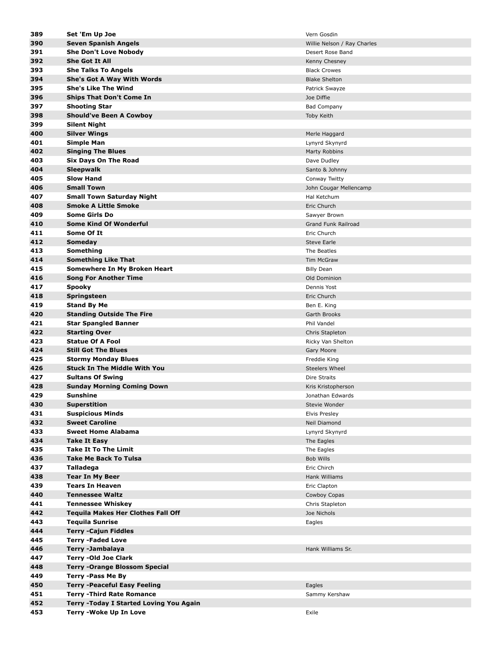| 389        | Set 'Em Up Joe                                      | Vern Gosdin                 |
|------------|-----------------------------------------------------|-----------------------------|
| 390        | Seven Spanish Angels                                | Willie Nelson / Ray Charles |
| 391        | <b>She Don't Love Nobody</b>                        | Desert Rose Band            |
| 392        | <b>She Got It All</b>                               | Kenny Chesney               |
| 393        | <b>She Talks To Angels</b>                          | <b>Black Crowes</b>         |
| 394        | She's Got A Way With Words                          | <b>Blake Shelton</b>        |
| 395        | <b>She's Like The Wind</b>                          | Patrick Swayze              |
| 396        | <b>Ships That Don't Come In</b>                     | Joe Diffie                  |
| 397        | <b>Shooting Star</b>                                | <b>Bad Company</b>          |
| 398        | <b>Should've Been A Cowboy</b>                      | Toby Keith                  |
| 399        | <b>Silent Night</b>                                 |                             |
| 400        | <b>Silver Wings</b>                                 | Merle Haggard               |
| 401        | Simple Man                                          | Lynyrd Skynyrd              |
| 402        | <b>Singing The Blues</b>                            | Marty Robbins               |
| 403        | Six Days On The Road                                | Dave Dudley                 |
| 404        | <b>Sleepwalk</b>                                    | Santo & Johnny              |
| 405        | <b>Slow Hand</b>                                    | Conway Twitty               |
| 406        | <b>Small Town</b>                                   | John Cougar Mellencamp      |
| 407        | <b>Small Town Saturday Night</b>                    | Hal Ketchum                 |
| 408        | <b>Smoke A Little Smoke</b>                         | Eric Church                 |
| 409        | <b>Some Girls Do</b>                                | Sawyer Brown                |
| 410        | <b>Some Kind Of Wonderful</b>                       | Grand Funk Railroad         |
| 411        | Some Of It                                          | Eric Church                 |
| 412        | Someday                                             | <b>Steve Earle</b>          |
| 413        | Something                                           | The Beatles                 |
| 414        | <b>Something Like That</b>                          | Tim McGraw                  |
| 415        | Somewhere In My Broken Heart                        | <b>Billy Dean</b>           |
| 416        | <b>Song For Another Time</b>                        | Old Dominion                |
| 417        | <b>Spooky</b>                                       | Dennis Yost                 |
| 418        | Springsteen                                         | Eric Church                 |
| 419<br>420 | <b>Stand By Me</b>                                  | Ben E. King                 |
| 421        | <b>Standing Outside The Fire</b>                    | Garth Brooks<br>Phil Vandel |
| 422        | <b>Star Spangled Banner</b><br><b>Starting Over</b> | Chris Stapleton             |
| 423        | <b>Statue Of A Fool</b>                             | Ricky Van Shelton           |
| 424        | <b>Still Got The Blues</b>                          | Gary Moore                  |
| 425        | <b>Stormy Monday Blues</b>                          | Freddie King                |
| 426        | <b>Stuck In The Middle With You</b>                 | <b>Steelers Wheel</b>       |
| 427        | <b>Sultans Of Swing</b>                             | Dire Straits                |
| 428        | <b>Sunday Morning Coming Down</b>                   | Kris Kristopherson          |
| 429        | Sunshine                                            | Jonathan Edwards            |
| 430        | <b>Superstition</b>                                 | Stevie Wonder               |
| 431        | <b>Suspicious Minds</b>                             | Elvis Presley               |
| 432        | <b>Sweet Caroline</b>                               | Neil Diamond                |
| 433        | <b>Sweet Home Alabama</b>                           | Lynyrd Skynyrd              |
| 434        | <b>Take It Easy</b>                                 | The Eagles                  |
| 435        | <b>Take It To The Limit</b>                         | The Eagles                  |
| 436        | <b>Take Me Back To Tulsa</b>                        | Bob Wills                   |
| 437        | Talladega                                           | Eric Chirch                 |
| 438        | <b>Tear In My Beer</b>                              | Hank Williams               |
| 439        | <b>Tears In Heaven</b>                              | Eric Clapton                |
| 440        | <b>Tennessee Waltz</b>                              | Cowboy Copas                |
| 441        | <b>Tennessee Whiskey</b>                            | Chris Stapleton             |
| 442        | <b>Tequila Makes Her Clothes Fall Off</b>           | Joe Nichols                 |
| 443        | <b>Tequila Sunrise</b>                              | Eagles                      |
| 444        | <b>Terry -Cajun Fiddles</b>                         |                             |
| 445        | <b>Terry -Faded Love</b>                            |                             |
| 446        | Terry -Jambalaya                                    | Hank Williams Sr.           |
| 447        | <b>Terry -Old Joe Clark</b>                         |                             |
| 448        | <b>Terry -Orange Blossom Special</b>                |                             |
| 449        | <b>Terry -Pass Me By</b>                            |                             |
| 450        | <b>Terry -Peaceful Easy Feeling</b>                 | Eagles                      |
| 451        | <b>Terry - Third Rate Romance</b>                   | Sammy Kershaw               |
| 452        | Terry - Today I Started Loving You Again            |                             |
| 453        | Terry - Woke Up In Love                             | Exile                       |